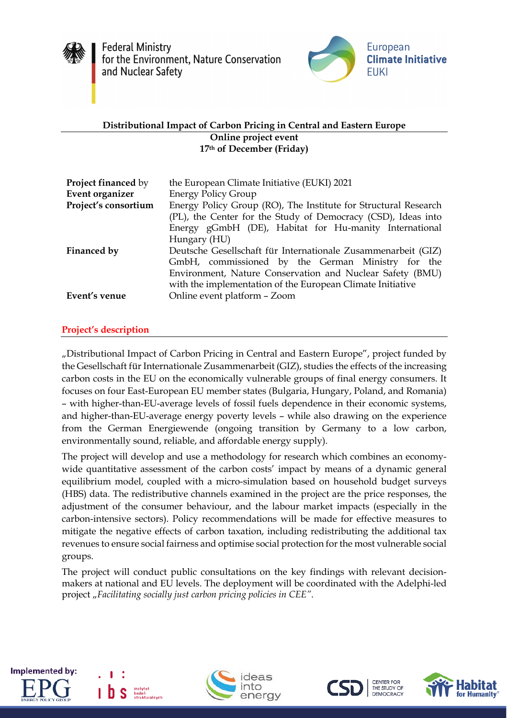

**Federal Ministry** for the Environment, Nature Conservation and Nuclear Safety



## **Distributional Impact of Carbon Pricing in Central and Eastern Europe Online project event 17th of December (Friday)**

| <b>Project financed by</b> | the European Climate Initiative (EUKI) 2021                     |
|----------------------------|-----------------------------------------------------------------|
| Event organizer            | <b>Energy Policy Group</b>                                      |
| Project's consortium       | Energy Policy Group (RO), The Institute for Structural Research |
|                            | (PL), the Center for the Study of Democracy (CSD), Ideas into   |
|                            | Energy gGmbH (DE), Habitat for Hu-manity International          |
|                            | Hungary (HU)                                                    |
| Financed by                | Deutsche Gesellschaft für Internationale Zusammenarbeit (GIZ)   |
|                            | GmbH, commissioned by the German Ministry for the               |
|                            | Environment, Nature Conservation and Nuclear Safety (BMU)       |
|                            | with the implementation of the European Climate Initiative      |
| Event's venue              | Online event platform - Zoom                                    |

# **Project's description**

"Distributional Impact of Carbon Pricing in Central and Eastern Europe", project funded by the Gesellschaft für Internationale Zusammenarbeit (GIZ), studies the effects of the increasing carbon costs in the EU on the economically vulnerable groups of final energy consumers. It focuses on four East-European EU member states (Bulgaria, Hungary, Poland, and Romania) – with higher-than-EU-average levels of fossil fuels dependence in their economic systems, and higher-than-EU-average energy poverty levels – while also drawing on the experience from the German Energiewende (ongoing transition by Germany to a low carbon, environmentally sound, reliable, and affordable energy supply).

The project will develop and use a methodology for research which combines an economywide quantitative assessment of the carbon costs' impact by means of a dynamic general equilibrium model, coupled with a micro-simulation based on household budget surveys (HBS) data. The redistributive channels examined in the project are the price responses, the adjustment of the consumer behaviour, and the labour market impacts (especially in the carbon-intensive sectors). Policy recommendations will be made for effective measures to mitigate the negative effects of carbon taxation, including redistributing the additional tax revenues to ensure social fairness and optimise social protection for the most vulnerable social groups.

The project will conduct public consultations on the key findings with relevant decisionmakers at national and EU levels. The deployment will be coordinated with the Adelphi-led project "Facilitating socially just carbon pricing policies in CEE".



agan<br>trukturalnvch